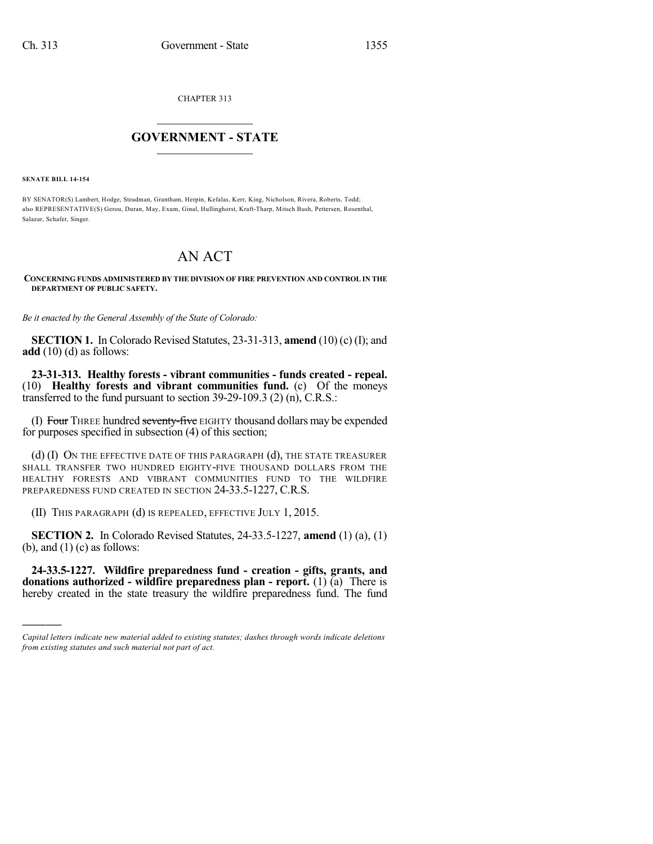CHAPTER 313

## $\overline{\phantom{a}}$  . The set of the set of the set of the set of the set of the set of the set of the set of the set of the set of the set of the set of the set of the set of the set of the set of the set of the set of the set o **GOVERNMENT - STATE**  $\_$

**SENATE BILL 14-154**

)))))

BY SENATOR(S) Lambert, Hodge, Steadman, Grantham, Herpin, Kefalas, Kerr, King, Nicholson, Rivera, Roberts, Todd; also REPRESENTATIVE(S) Gerou, Duran, May, Exum, Ginal, Hullinghorst, Kraft-Tharp, Mitsch Bush, Pettersen, Rosenthal, Salazar, Schafer, Singer.

## AN ACT

**CONCERNING FUNDS ADMINISTERED BY THE DIVISION OF FIRE PREVENTION AND CONTROL IN THE DEPARTMENT OF PUBLIC SAFETY.**

*Be it enacted by the General Assembly of the State of Colorado:*

**SECTION 1.** In Colorado Revised Statutes, 23-31-313, **amend** (10) (c) (I); and **add** (10) (d) as follows:

**23-31-313. Healthy forests - vibrant communities - funds created - repeal.** (10) **Healthy forests and vibrant communities fund.** (c) Of the moneys transferred to the fund pursuant to section 39-29-109.3 (2) (n), C.R.S.:

(I) Four THREE hundred seventy-five EIGHTY thousand dollars may be expended for purposes specified in subsection (4) of this section;

(d) (I) ON THE EFFECTIVE DATE OF THIS PARAGRAPH (d), THE STATE TREASURER SHALL TRANSFER TWO HUNDRED EIGHTY-FIVE THOUSAND DOLLARS FROM THE HEALTHY FORESTS AND VIBRANT COMMUNITIES FUND TO THE WILDFIRE PREPAREDNESS FUND CREATED IN SECTION 24-33.5-1227, C.R.S.

(II) THIS PARAGRAPH (d) IS REPEALED, EFFECTIVE JULY 1, 2015.

**SECTION 2.** In Colorado Revised Statutes, 24-33.5-1227, **amend** (1) (a), (1) (b), and  $(1)$  (c) as follows:

**24-33.5-1227. Wildfire preparedness fund - creation - gifts, grants, and donations authorized - wildfire preparedness plan - report.** (1) (a) There is hereby created in the state treasury the wildfire preparedness fund. The fund

*Capital letters indicate new material added to existing statutes; dashes through words indicate deletions from existing statutes and such material not part of act.*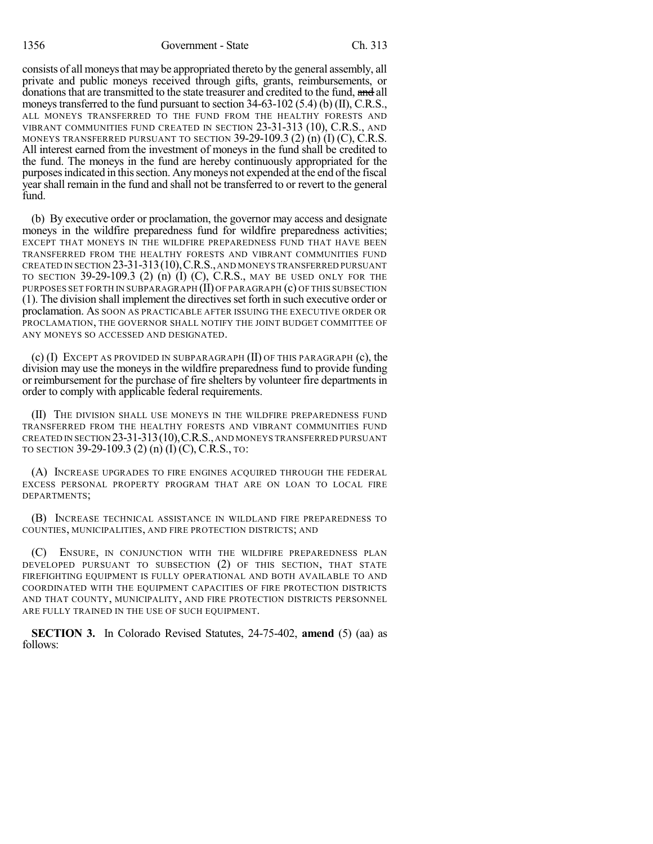consists of all moneys that may be appropriated thereto by the general assembly, all private and public moneys received through gifts, grants, reimbursements, or donations that are transmitted to the state treasurer and credited to the fund, and all moneys transferred to the fund pursuant to section 34-63-102 (5.4) (b) (II), C.R.S., ALL MONEYS TRANSFERRED TO THE FUND FROM THE HEALTHY FORESTS AND VIBRANT COMMUNITIES FUND CREATED IN SECTION 23-31-313 (10), C.R.S., AND MONEYS TRANSFERRED PURSUANT TO SECTION  $39-29-109.3$  (2) (n) (I) (C), C.R.S. All interest earned from the investment of moneys in the fund shall be credited to the fund. The moneys in the fund are hereby continuously appropriated for the purposes indicated in this section. Any moneys not expended at the end of the fiscal year shall remain in the fund and shall not be transferred to or revert to the general fund.

(b) By executive order or proclamation, the governor may access and designate moneys in the wildfire preparedness fund for wildfire preparedness activities; EXCEPT THAT MONEYS IN THE WILDFIRE PREPAREDNESS FUND THAT HAVE BEEN TRANSFERRED FROM THE HEALTHY FORESTS AND VIBRANT COMMUNITIES FUND CREATED IN SECTION 23-31-313(10),C.R.S.,AND MONEYS TRANSFERRED PURSUANT TO SECTION 39-29-109.3 (2) (n) (I) (C), C.R.S., MAY BE USED ONLY FOR THE PURPOSES SET FORTH IN SUBPARAGRAPH (II) OF PARAGRAPH (c) OF THIS SUBSECTION (1). The division shall implement the directivesset forth in such executive order or proclamation. AS SOON AS PRACTICABLE AFTER ISSUING THE EXECUTIVE ORDER OR PROCLAMATION, THE GOVERNOR SHALL NOTIFY THE JOINT BUDGET COMMITTEE OF ANY MONEYS SO ACCESSED AND DESIGNATED.

 $(c)$  (I) EXCEPT AS PROVIDED IN SUBPARAGRAPH (II) OF THIS PARAGRAPH  $(c)$ , the division may use the moneys in the wildfire preparedness fund to provide funding or reimbursement for the purchase of fire shelters by volunteer fire departments in order to comply with applicable federal requirements.

(II) THE DIVISION SHALL USE MONEYS IN THE WILDFIRE PREPAREDNESS FUND TRANSFERRED FROM THE HEALTHY FORESTS AND VIBRANT COMMUNITIES FUND CREATED IN SECTION 23-31-313(10),C.R.S.,AND MONEYS TRANSFERRED PURSUANT TO SECTION 39-29-109.3 (2) (n) (I) (C), C.R.S., TO:

(A) INCREASE UPGRADES TO FIRE ENGINES ACQUIRED THROUGH THE FEDERAL EXCESS PERSONAL PROPERTY PROGRAM THAT ARE ON LOAN TO LOCAL FIRE DEPARTMENTS;

(B) INCREASE TECHNICAL ASSISTANCE IN WILDLAND FIRE PREPAREDNESS TO COUNTIES, MUNICIPALITIES, AND FIRE PROTECTION DISTRICTS; AND

(C) ENSURE, IN CONJUNCTION WITH THE WILDFIRE PREPAREDNESS PLAN DEVELOPED PURSUANT TO SUBSECTION (2) OF THIS SECTION, THAT STATE FIREFIGHTING EQUIPMENT IS FULLY OPERATIONAL AND BOTH AVAILABLE TO AND COORDINATED WITH THE EQUIPMENT CAPACITIES OF FIRE PROTECTION DISTRICTS AND THAT COUNTY, MUNICIPALITY, AND FIRE PROTECTION DISTRICTS PERSONNEL ARE FULLY TRAINED IN THE USE OF SUCH EQUIPMENT.

**SECTION 3.** In Colorado Revised Statutes, 24-75-402, **amend** (5) (aa) as follows: